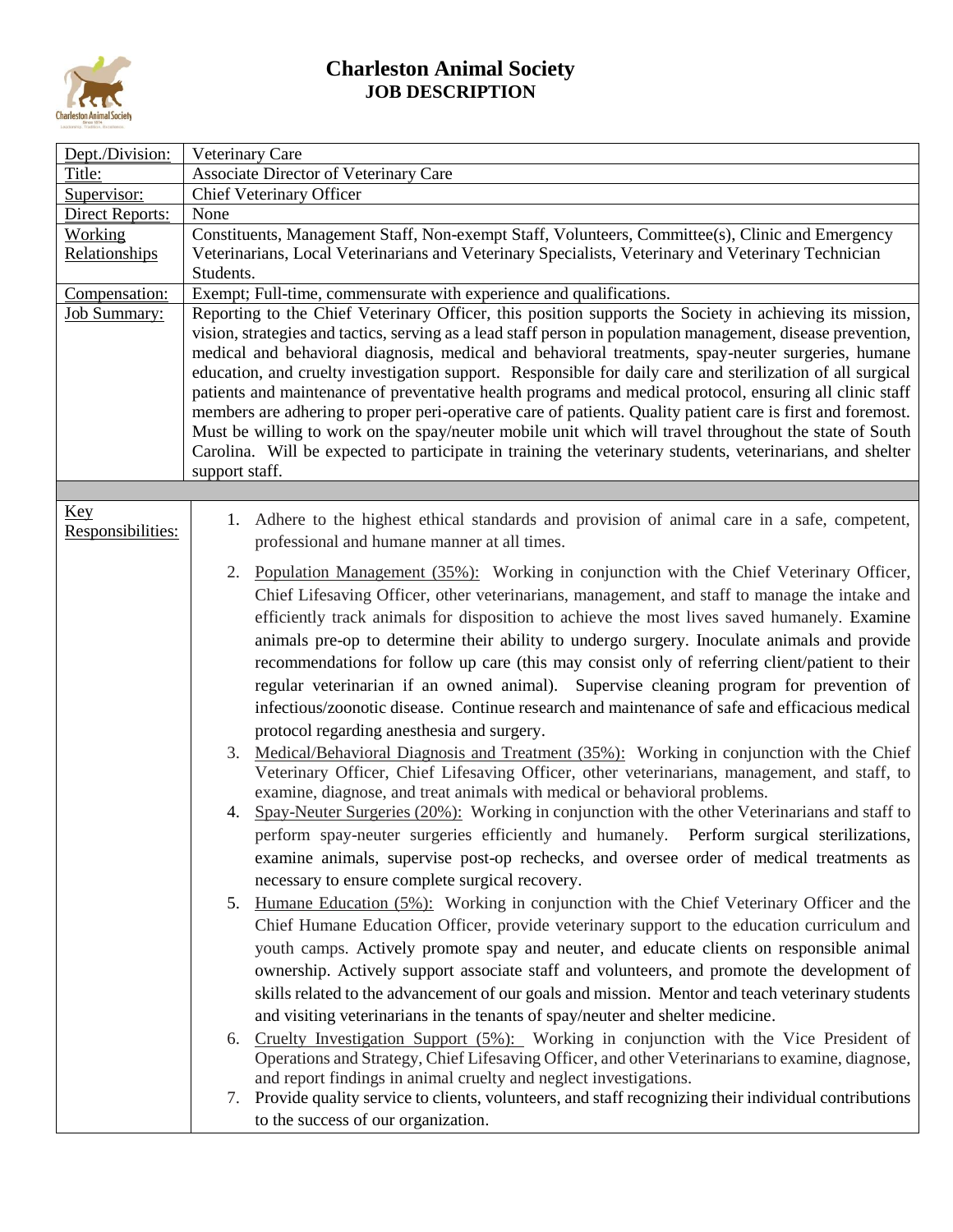

## **Charleston Animal Society JOB DESCRIPTION**

| Dept./Division:          | Veterinary Care                                                                                                                                                                                                                                                                                                                                                                                                                                                                                                                                                                                                                                                                                                                                                                                                                                                                                                 |
|--------------------------|-----------------------------------------------------------------------------------------------------------------------------------------------------------------------------------------------------------------------------------------------------------------------------------------------------------------------------------------------------------------------------------------------------------------------------------------------------------------------------------------------------------------------------------------------------------------------------------------------------------------------------------------------------------------------------------------------------------------------------------------------------------------------------------------------------------------------------------------------------------------------------------------------------------------|
| Title:                   | <b>Associate Director of Veterinary Care</b>                                                                                                                                                                                                                                                                                                                                                                                                                                                                                                                                                                                                                                                                                                                                                                                                                                                                    |
| Supervisor:              | Chief Veterinary Officer                                                                                                                                                                                                                                                                                                                                                                                                                                                                                                                                                                                                                                                                                                                                                                                                                                                                                        |
| Direct Reports:          | None                                                                                                                                                                                                                                                                                                                                                                                                                                                                                                                                                                                                                                                                                                                                                                                                                                                                                                            |
| <b>Working</b>           | Constituents, Management Staff, Non-exempt Staff, Volunteers, Committee(s), Clinic and Emergency                                                                                                                                                                                                                                                                                                                                                                                                                                                                                                                                                                                                                                                                                                                                                                                                                |
| Relationships            | Veterinarians, Local Veterinarians and Veterinary Specialists, Veterinary and Veterinary Technician                                                                                                                                                                                                                                                                                                                                                                                                                                                                                                                                                                                                                                                                                                                                                                                                             |
|                          | Students.                                                                                                                                                                                                                                                                                                                                                                                                                                                                                                                                                                                                                                                                                                                                                                                                                                                                                                       |
| Compensation:            | Exempt; Full-time, commensurate with experience and qualifications.                                                                                                                                                                                                                                                                                                                                                                                                                                                                                                                                                                                                                                                                                                                                                                                                                                             |
| <b>Job Summary:</b>      | Reporting to the Chief Veterinary Officer, this position supports the Society in achieving its mission,<br>vision, strategies and tactics, serving as a lead staff person in population management, disease prevention,<br>medical and behavioral diagnosis, medical and behavioral treatments, spay-neuter surgeries, humane<br>education, and cruelty investigation support. Responsible for daily care and sterilization of all surgical<br>patients and maintenance of preventative health programs and medical protocol, ensuring all clinic staff<br>members are adhering to proper peri-operative care of patients. Quality patient care is first and foremost.<br>Must be willing to work on the spay/neuter mobile unit which will travel throughout the state of South<br>Carolina. Will be expected to participate in training the veterinary students, veterinarians, and shelter<br>support staff. |
|                          |                                                                                                                                                                                                                                                                                                                                                                                                                                                                                                                                                                                                                                                                                                                                                                                                                                                                                                                 |
| Key<br>Responsibilities: | 1. Adhere to the highest ethical standards and provision of animal care in a safe, competent,<br>professional and humane manner at all times.                                                                                                                                                                                                                                                                                                                                                                                                                                                                                                                                                                                                                                                                                                                                                                   |
|                          | 2. Population Management (35%): Working in conjunction with the Chief Veterinary Officer,                                                                                                                                                                                                                                                                                                                                                                                                                                                                                                                                                                                                                                                                                                                                                                                                                       |
|                          | Chief Lifesaving Officer, other veterinarians, management, and staff to manage the intake and                                                                                                                                                                                                                                                                                                                                                                                                                                                                                                                                                                                                                                                                                                                                                                                                                   |
|                          | efficiently track animals for disposition to achieve the most lives saved humanely. Examine                                                                                                                                                                                                                                                                                                                                                                                                                                                                                                                                                                                                                                                                                                                                                                                                                     |
|                          |                                                                                                                                                                                                                                                                                                                                                                                                                                                                                                                                                                                                                                                                                                                                                                                                                                                                                                                 |
|                          | animals pre-op to determine their ability to undergo surgery. Inoculate animals and provide                                                                                                                                                                                                                                                                                                                                                                                                                                                                                                                                                                                                                                                                                                                                                                                                                     |
|                          | recommendations for follow up care (this may consist only of referring client/patient to their                                                                                                                                                                                                                                                                                                                                                                                                                                                                                                                                                                                                                                                                                                                                                                                                                  |
|                          | regular veterinarian if an owned animal). Supervise cleaning program for prevention of                                                                                                                                                                                                                                                                                                                                                                                                                                                                                                                                                                                                                                                                                                                                                                                                                          |
|                          | infectious/zoonotic disease. Continue research and maintenance of safe and efficacious medical                                                                                                                                                                                                                                                                                                                                                                                                                                                                                                                                                                                                                                                                                                                                                                                                                  |
|                          | protocol regarding anesthesia and surgery.                                                                                                                                                                                                                                                                                                                                                                                                                                                                                                                                                                                                                                                                                                                                                                                                                                                                      |
|                          | 3. Medical/Behavioral Diagnosis and Treatment (35%): Working in conjunction with the Chief                                                                                                                                                                                                                                                                                                                                                                                                                                                                                                                                                                                                                                                                                                                                                                                                                      |
|                          | Veterinary Officer, Chief Lifesaving Officer, other veterinarians, management, and staff, to<br>examine, diagnose, and treat animals with medical or behavioral problems.                                                                                                                                                                                                                                                                                                                                                                                                                                                                                                                                                                                                                                                                                                                                       |
|                          | 4. Spay-Neuter Surgeries (20%): Working in conjunction with the other Veterinarians and staff to                                                                                                                                                                                                                                                                                                                                                                                                                                                                                                                                                                                                                                                                                                                                                                                                                |
|                          | perform spay-neuter surgeries efficiently and humanely. Perform surgical sterilizations,                                                                                                                                                                                                                                                                                                                                                                                                                                                                                                                                                                                                                                                                                                                                                                                                                        |
|                          | examine animals, supervise post-op rechecks, and oversee order of medical treatments as                                                                                                                                                                                                                                                                                                                                                                                                                                                                                                                                                                                                                                                                                                                                                                                                                         |
|                          | necessary to ensure complete surgical recovery.                                                                                                                                                                                                                                                                                                                                                                                                                                                                                                                                                                                                                                                                                                                                                                                                                                                                 |
|                          | 5. Humane Education (5%): Working in conjunction with the Chief Veterinary Officer and the                                                                                                                                                                                                                                                                                                                                                                                                                                                                                                                                                                                                                                                                                                                                                                                                                      |
|                          | Chief Humane Education Officer, provide veterinary support to the education curriculum and                                                                                                                                                                                                                                                                                                                                                                                                                                                                                                                                                                                                                                                                                                                                                                                                                      |
|                          | youth camps. Actively promote spay and neuter, and educate clients on responsible animal                                                                                                                                                                                                                                                                                                                                                                                                                                                                                                                                                                                                                                                                                                                                                                                                                        |
|                          |                                                                                                                                                                                                                                                                                                                                                                                                                                                                                                                                                                                                                                                                                                                                                                                                                                                                                                                 |
|                          | ownership. Actively support associate staff and volunteers, and promote the development of                                                                                                                                                                                                                                                                                                                                                                                                                                                                                                                                                                                                                                                                                                                                                                                                                      |
|                          | skills related to the advancement of our goals and mission. Mentor and teach veterinary students                                                                                                                                                                                                                                                                                                                                                                                                                                                                                                                                                                                                                                                                                                                                                                                                                |
|                          | and visiting veterinarians in the tenants of spay/neuter and shelter medicine.                                                                                                                                                                                                                                                                                                                                                                                                                                                                                                                                                                                                                                                                                                                                                                                                                                  |
|                          | 6. Cruelty Investigation Support (5%): Working in conjunction with the Vice President of                                                                                                                                                                                                                                                                                                                                                                                                                                                                                                                                                                                                                                                                                                                                                                                                                        |
|                          | Operations and Strategy, Chief Lifesaving Officer, and other Veterinarians to examine, diagnose,                                                                                                                                                                                                                                                                                                                                                                                                                                                                                                                                                                                                                                                                                                                                                                                                                |
|                          | and report findings in animal cruelty and neglect investigations.                                                                                                                                                                                                                                                                                                                                                                                                                                                                                                                                                                                                                                                                                                                                                                                                                                               |
|                          | 7. Provide quality service to clients, volunteers, and staff recognizing their individual contributions                                                                                                                                                                                                                                                                                                                                                                                                                                                                                                                                                                                                                                                                                                                                                                                                         |
|                          | to the success of our organization.                                                                                                                                                                                                                                                                                                                                                                                                                                                                                                                                                                                                                                                                                                                                                                                                                                                                             |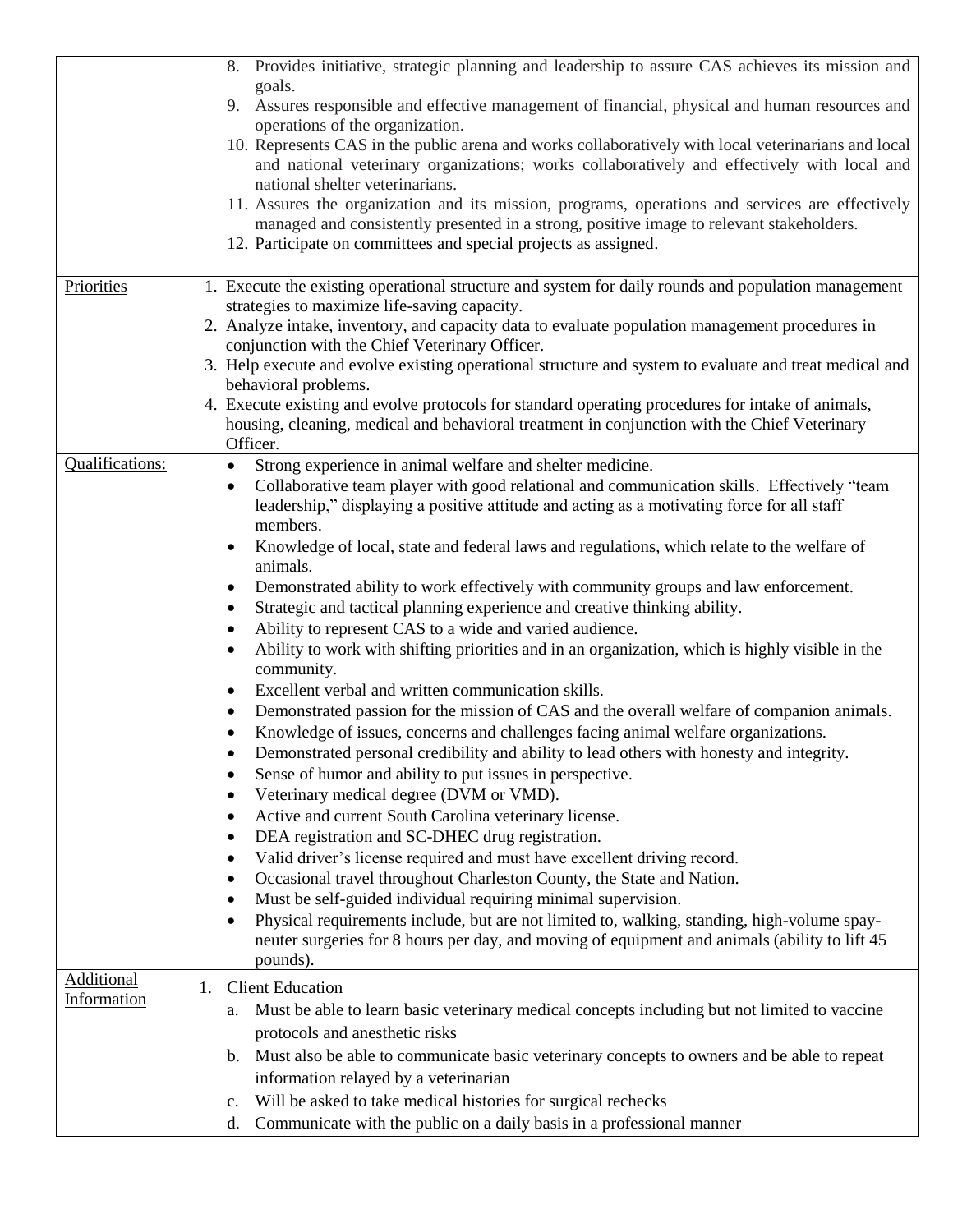|                                  | 8. Provides initiative, strategic planning and leadership to assure CAS achieves its mission and<br>goals.<br>9. Assures responsible and effective management of financial, physical and human resources and<br>operations of the organization.<br>10. Represents CAS in the public arena and works collaboratively with local veterinarians and local<br>and national veterinary organizations; works collaboratively and effectively with local and<br>national shelter veterinarians.<br>11. Assures the organization and its mission, programs, operations and services are effectively<br>managed and consistently presented in a strong, positive image to relevant stakeholders.<br>12. Participate on committees and special projects as assigned.                                                                                                                                                                                                                                                                                                                                                                                                                                                                                                                                                                                                                                                                                                                                                                                                                                                                                                                                                                                                                                           |
|----------------------------------|------------------------------------------------------------------------------------------------------------------------------------------------------------------------------------------------------------------------------------------------------------------------------------------------------------------------------------------------------------------------------------------------------------------------------------------------------------------------------------------------------------------------------------------------------------------------------------------------------------------------------------------------------------------------------------------------------------------------------------------------------------------------------------------------------------------------------------------------------------------------------------------------------------------------------------------------------------------------------------------------------------------------------------------------------------------------------------------------------------------------------------------------------------------------------------------------------------------------------------------------------------------------------------------------------------------------------------------------------------------------------------------------------------------------------------------------------------------------------------------------------------------------------------------------------------------------------------------------------------------------------------------------------------------------------------------------------------------------------------------------------------------------------------------------------|
| Priorities                       | 1. Execute the existing operational structure and system for daily rounds and population management<br>strategies to maximize life-saving capacity.<br>2. Analyze intake, inventory, and capacity data to evaluate population management procedures in<br>conjunction with the Chief Veterinary Officer.<br>3. Help execute and evolve existing operational structure and system to evaluate and treat medical and<br>behavioral problems.<br>4. Execute existing and evolve protocols for standard operating procedures for intake of animals,<br>housing, cleaning, medical and behavioral treatment in conjunction with the Chief Veterinary<br>Officer.                                                                                                                                                                                                                                                                                                                                                                                                                                                                                                                                                                                                                                                                                                                                                                                                                                                                                                                                                                                                                                                                                                                                          |
| Qualifications:                  | Strong experience in animal welfare and shelter medicine.<br>Collaborative team player with good relational and communication skills. Effectively "team<br>$\bullet$<br>leadership," displaying a positive attitude and acting as a motivating force for all staff<br>members.<br>Knowledge of local, state and federal laws and regulations, which relate to the welfare of<br>animals.<br>Demonstrated ability to work effectively with community groups and law enforcement.<br>$\bullet$<br>Strategic and tactical planning experience and creative thinking ability.<br>Ability to represent CAS to a wide and varied audience.<br>Ability to work with shifting priorities and in an organization, which is highly visible in the<br>community.<br>Excellent verbal and written communication skills.<br>$\bullet$<br>Demonstrated passion for the mission of CAS and the overall welfare of companion animals.<br>$\bullet$<br>Knowledge of issues, concerns and challenges facing animal welfare organizations.<br>Demonstrated personal credibility and ability to lead others with honesty and integrity.<br>Sense of humor and ability to put issues in perspective.<br>Veterinary medical degree (DVM or VMD).<br>Active and current South Carolina veterinary license.<br>٠<br>DEA registration and SC-DHEC drug registration.<br>$\bullet$<br>Valid driver's license required and must have excellent driving record.<br>٠<br>Occasional travel throughout Charleston County, the State and Nation.<br>٠<br>Must be self-guided individual requiring minimal supervision.<br>$\bullet$<br>Physical requirements include, but are not limited to, walking, standing, high-volume spay-<br>neuter surgeries for 8 hours per day, and moving of equipment and animals (ability to lift 45 |
| <b>Additional</b><br>Information | pounds).<br><b>Client Education</b><br>1.<br>a. Must be able to learn basic veterinary medical concepts including but not limited to vaccine<br>protocols and anesthetic risks<br>b. Must also be able to communicate basic veterinary concepts to owners and be able to repeat<br>information relayed by a veterinarian<br>c. Will be asked to take medical histories for surgical rechecks<br>Communicate with the public on a daily basis in a professional manner<br>d.                                                                                                                                                                                                                                                                                                                                                                                                                                                                                                                                                                                                                                                                                                                                                                                                                                                                                                                                                                                                                                                                                                                                                                                                                                                                                                                          |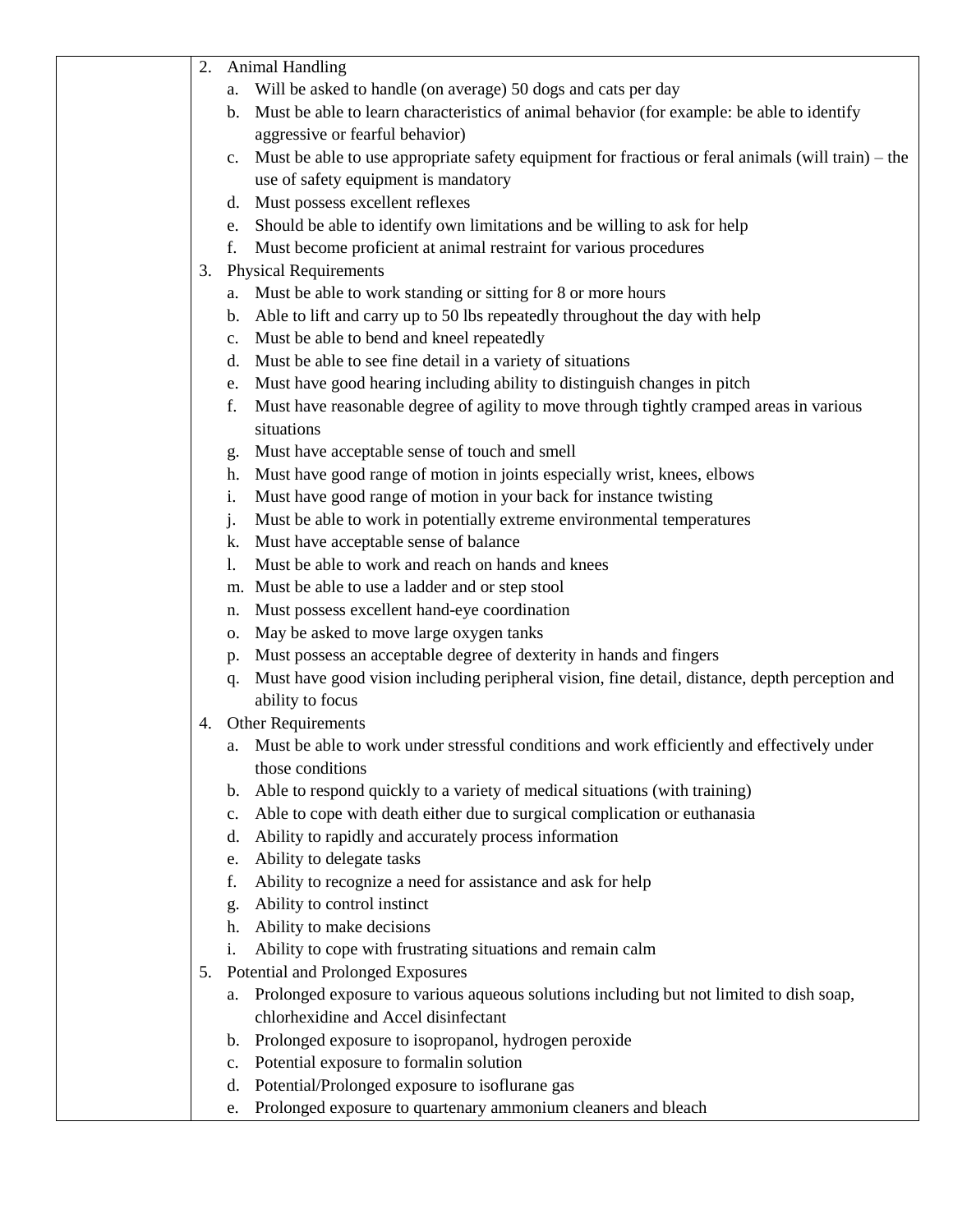| <b>Animal Handling</b><br>2. |                                                                                                                      |
|------------------------------|----------------------------------------------------------------------------------------------------------------------|
|                              | Will be asked to handle (on average) 50 dogs and cats per day<br>a.                                                  |
|                              | b. Must be able to learn characteristics of animal behavior (for example: be able to identify                        |
|                              | aggressive or fearful behavior)                                                                                      |
|                              | Must be able to use appropriate safety equipment for fractious or feral animals (will train) – the<br>$\mathbf{c}$ . |
|                              | use of safety equipment is mandatory                                                                                 |
|                              | Must possess excellent reflexes<br>$d_{\cdot}$                                                                       |
|                              | Should be able to identify own limitations and be willing to ask for help<br>e.                                      |
|                              | Must become proficient at animal restraint for various procedures<br>f.                                              |
| 3.                           | <b>Physical Requirements</b>                                                                                         |
|                              | Must be able to work standing or sitting for 8 or more hours<br>a.                                                   |
|                              | Able to lift and carry up to 50 lbs repeatedly throughout the day with help<br>b.                                    |
|                              | Must be able to bend and kneel repeatedly<br>c.                                                                      |
|                              | Must be able to see fine detail in a variety of situations<br>d.                                                     |
|                              | Must have good hearing including ability to distinguish changes in pitch<br>e.                                       |
|                              | Must have reasonable degree of agility to move through tightly cramped areas in various<br>f.                        |
|                              | situations                                                                                                           |
|                              | Must have acceptable sense of touch and smell                                                                        |
|                              | g.<br>Must have good range of motion in joints especially wrist, knees, elbows<br>h.                                 |
|                              | Must have good range of motion in your back for instance twisting<br>i.                                              |
|                              | Must be able to work in potentially extreme environmental temperatures<br>j.                                         |
|                              | Must have acceptable sense of balance<br>k.                                                                          |
|                              | Must be able to work and reach on hands and knees<br>1.                                                              |
|                              | m. Must be able to use a ladder and or step stool                                                                    |
|                              | Must possess excellent hand-eye coordination                                                                         |
|                              | n.<br>May be asked to move large oxygen tanks                                                                        |
|                              | о.<br>Must possess an acceptable degree of dexterity in hands and fingers                                            |
|                              | p.<br>Must have good vision including peripheral vision, fine detail, distance, depth perception and                 |
|                              | q.<br>ability to focus                                                                                               |
| 4.                           | Other Requirements                                                                                                   |
|                              | Must be able to work under stressful conditions and work efficiently and effectively under                           |
|                              | a.<br>those conditions                                                                                               |
|                              |                                                                                                                      |
|                              | Able to respond quickly to a variety of medical situations (with training)<br>b.                                     |
|                              | Able to cope with death either due to surgical complication or euthanasia<br>c.                                      |
|                              | Ability to rapidly and accurately process information<br>d.                                                          |
|                              | Ability to delegate tasks<br>e.                                                                                      |
|                              | Ability to recognize a need for assistance and ask for help<br>f.                                                    |
|                              | Ability to control instinct<br>g.                                                                                    |
|                              | Ability to make decisions<br>h.                                                                                      |
|                              | Ability to cope with frustrating situations and remain calm<br>i.                                                    |
| 5.                           | Potential and Prolonged Exposures                                                                                    |
|                              | Prolonged exposure to various aqueous solutions including but not limited to dish soap,<br>a.                        |
|                              | chlorhexidine and Accel disinfectant                                                                                 |
|                              | Prolonged exposure to isopropanol, hydrogen peroxide<br>b.                                                           |
|                              | Potential exposure to formalin solution<br>c.                                                                        |
|                              | Potential/Prolonged exposure to isoflurane gas<br>d.                                                                 |
|                              | Prolonged exposure to quartenary ammonium cleaners and bleach<br>e.                                                  |